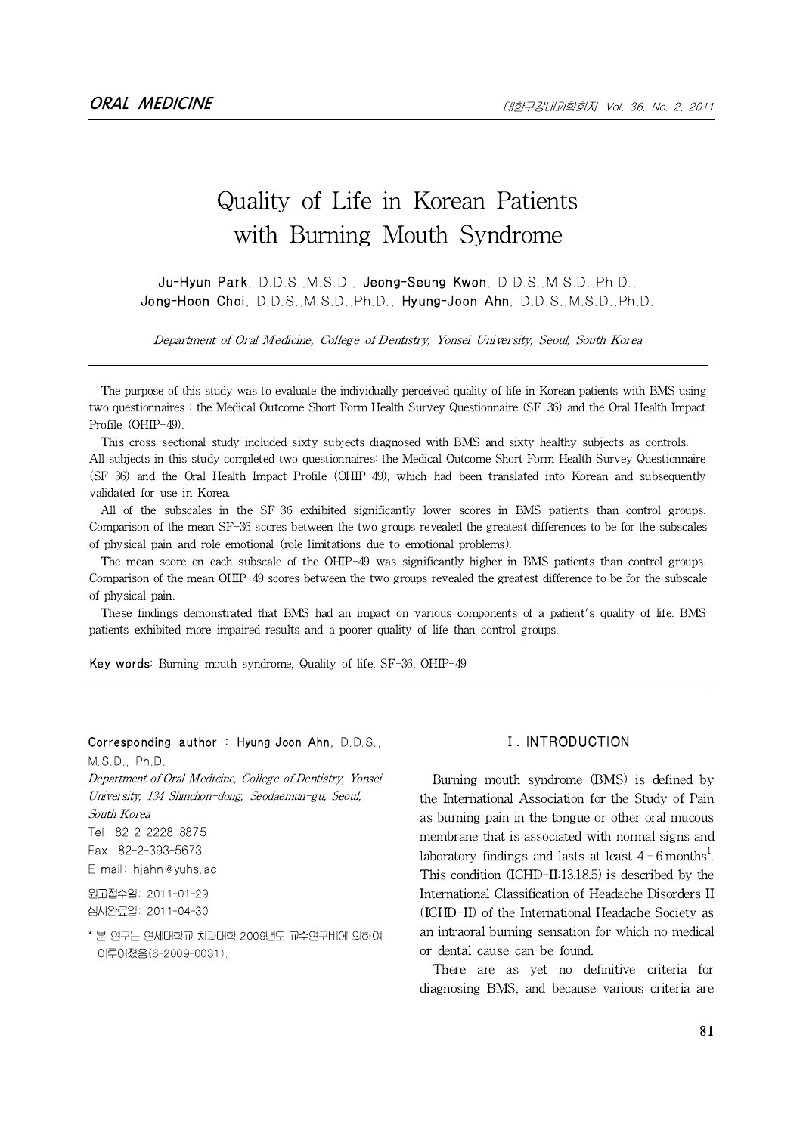# Quality of Life in Korean Patients with Burning Mouth Syndrome

Ju-Hyun Park, D.D.S.,M.S.D., Jeong-Seung Kwon, D.D.S.,M.S.D.,Ph.D., Jong-Hoon Choi, D.D.S.,M.S.D.,Ph.D., Hyung-Joon Ahn, D.D.S.,M.S.D.,Ph.D.

Department of Oral Medicine, College of Dentistry, Yonsei University, Seoul, South Korea

The purpose of this study was to evaluate the individually perceived quality of life in Korean patients with BMS using two questionnaires : the Medical Outcome Short Form Health Survey Questionnaire (SF-36) and the Oral Health Impact Profile (OHIP-49).

This cross-sectional study included sixty subjects diagnosed with BMS and sixty healthy subjects as controls. All subjects in this study completed two questionnaires: the Medical Outcome Short Form Health Survey Questionnaire (SF-36) and the Oral Health Impact Profile (OHIP-49), which had been translated into Korean and subsequently validated for use in Korea.

All of the subscales in the SF-36 exhibited significantly lower scores in BMS patients than control groups. Comparison of the mean SF-36 scores between the two groups revealed the greatest differences to be for the subscales of physical pain and role emotional (role limitations due to emotional problems).

The mean score on each subscale of the OHIP-49 was significantly higher in BMS patients than control groups. Comparison of the mean OHIP-49 scores between the two groups revealed the greatest difference to be for the subscale of physical pain.

These findings demonstrated that BMS had an impact on various components of a patient's quality of life. BMS patients exhibited more impaired results and a poorer quality of life than control groups.

Key words: Burning mouth syndrome, Quality of life, SF-36, OHIP-49

Corresponding author : Hyung-Joon Ahn, D.D.S., M.S.D., Ph.D. Department of Oral Medicine, College of Dentistry, Yonsei University, 134 Shinchon-dong, Seodaemun-gu, Seoul, South Korea Tel: 82-2-2228-8875 Fax: 82-2-393-5673 E-mail: hjahn@yuhs.ac

원고접수일: 2011-01-29 심사완료일: 2011-04-30

\* 본 연구는 연세대학교 치과대학 2009년도 교수연구비에 의하여 이루어졌음(6-2009-0031).

# Ⅰ. INTRODUCTION

Burning mouth syndrome (BMS) is defined by the International Association for the Study of Pain as burning pain in the tongue or other oral mucous membrane that is associated with normal signs and laboratory findings and lasts at least 4 – 6 months $^{\rm l}$ . This condition (ICHD-II:13.18.5) is described by the International Classification of Headache Disorders II (ICHD-II) of the International Headache Society as an intraoral burning sensation for which no medical or dental cause can be found.

There are as yet no definitive criteria for diagnosing BMS, and because various criteria are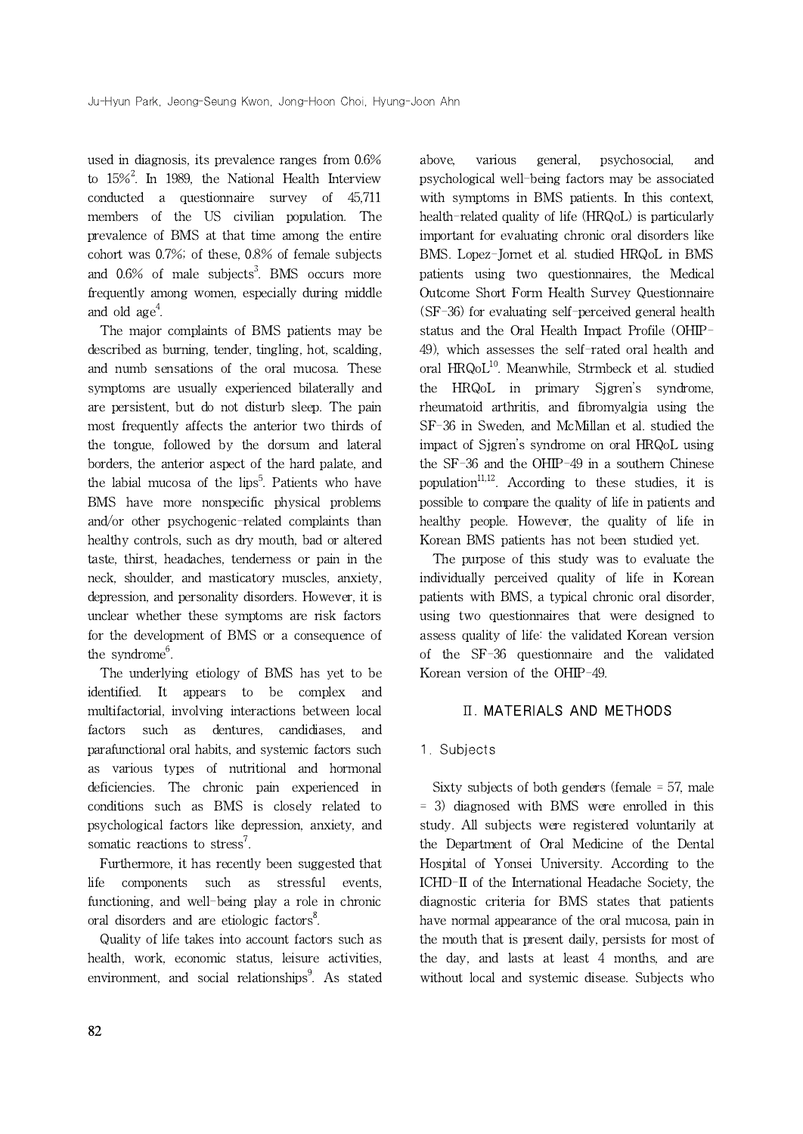used in diagnosis, its prevalence ranges from 0.6% to 15% $^2$ . In 1989, the National Health Interview psycholo conducted a questionnaire survey of 45,711 members of the US civilian population. The prevalence of BMS at that time among the entire cohort was 0.7%; of these, 0.8% of female subjects and  $0.6\%$  of male subjects<sup>3</sup>. BMS occurs more pa frequently among women, especially during middle and old  $\rm{age}^4.$ 

The major complaints of BMS patients may be described as burning, tender, tingling, hot, scalding, and numb sensations of the oral mucosa. These symptoms are usually experienced bilaterally and are persistent, but do not disturb sleep. The pain most frequently affects the anterior two thirds of the tongue, followed by the dorsum and lateral borders, the anterior aspect of the hard palate, and the labial mucosa of the lips<sup>5</sup>. Patients who have  $p$ BMS have more nonspecific physical problems and/or other psychogenic-related complaints than healthy controls, such as dry mouth, bad or altered taste, thirst, headaches, tenderness or pain in the neck, shoulder, and masticatory muscles, anxiety, depression, and personality disorders. However, it is unclear whether these symptoms are risk factors for the development of BMS or a consequence of the syndrome<sup>6</sup>.

The underlying etiology of BMS has yet to be identified. It appears to be complex and multifactorial, involving interactions between local factors such as dentures, candidiases, and parafunctional oral habits, and systemic factors such as various types of nutritional and hormonal deficiencies. The chronic pain experienced in conditions such as BMS is closely related to psychological factors like depression, anxiety, and somatic reactions to stress<sup>7</sup>.

Furthermore, it has recently been suggested that life components such as stressful events, functioning, and well-being play a role in chronic oral disorders and are etiologic factors<sup>8</sup>.

Quality of life takes into account factors such as health, work, economic status, leisure activities, environment, and social relationships<sup>9</sup>. As stated wit

various general, psychosocial, and psychological well-being factors may be associated with symptoms in BMS patients. In this context, health-related quality of life (HRQoL) is particularly important for evaluating chronic oral disorders like BMS. Lopez-Jornet et al. studied HRQoL in BMS patients using two questionnaires, the Medical Outcome Short Form Health Survey Questionnaire (SF-36) for evaluating self-perceived general health status and the Oral Health Impact Profile (OHIP-49), which assesses the self-rated oral health and oral HRQoL<sup>10</sup>. Meanwhile, Strmbeck et al. studied the HRQoL in primary Sjgren's syndrome, rheumatoid arthritis, and fibromyalgia using the SF-36 in Sweden, and McMillan et al. studied the impact of Sjgren's syndrome on oral HRQoL using the SF-36 and the OHIP-49 in a southern Chinese population $11,12$ . According to these studies, it is possible to compare the quality of life in patients and healthy people. However, the quality of life in Korean BMS patients has not been studied yet.

The purpose of this study was to evaluate the individually perceived quality of life in Korean patients with BMS, a typical chronic oral disorder, using two questionnaires that were designed to assess quality of life: the validated Korean version of the SF-36 questionnaire and the validated Korean version of the OHIP-49.

# Ⅱ. MATERIALS AND METHODS

## 1. Subjects

Sixty subjects of both genders (female = 57, male = 3) diagnosed with BMS were enrolled in this study. All subjects were registered voluntarily at the Department of Oral Medicine of the Dental Hospital of Yonsei University. According to the ICHD-II of the International Headache Society, the diagnostic criteria for BMS states that patients have normal appearance of the oral mucosa, pain in the mouth that is present daily, persists for most of the day, and lasts at least 4 months, and are without local and systemic disease. Subjects who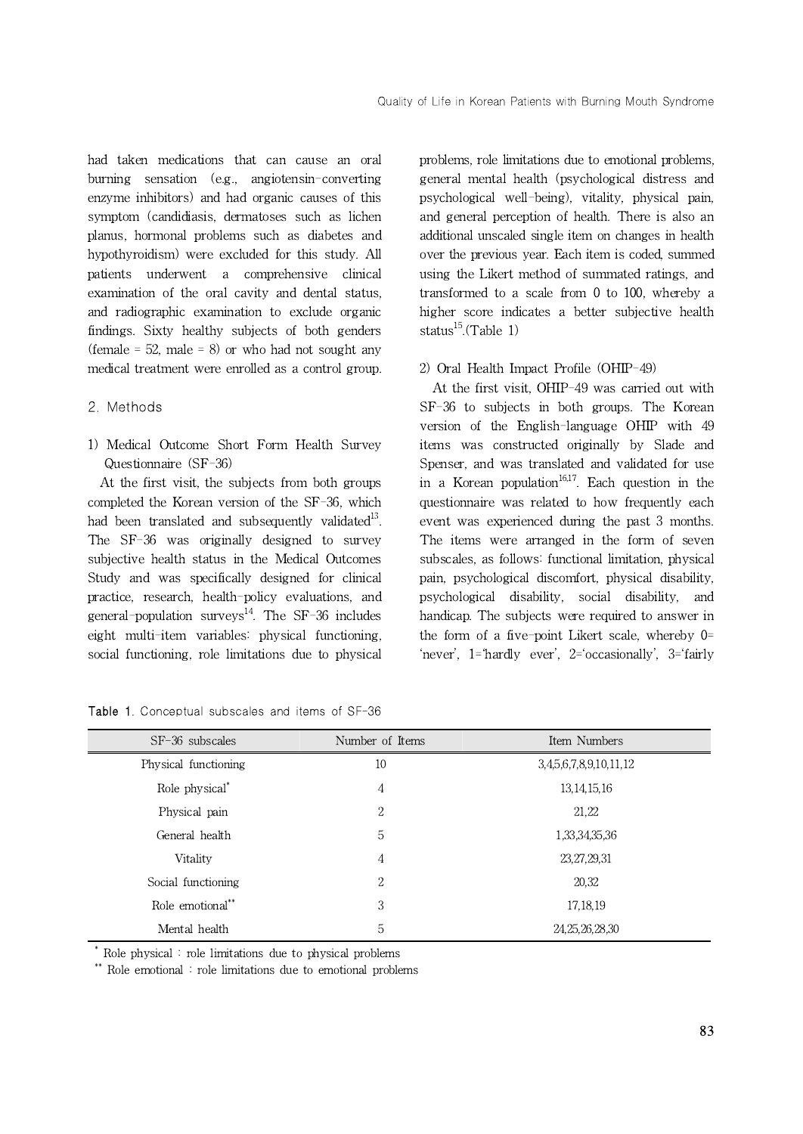had taken medications that can cause an oral burning sensation (e.g., angiotensin-converting enzyme inhibitors) and had organic causes of this symptom (candidiasis, dermatoses such as lichen planus, hormonal problems such as diabetes and hypothyroidism) were excluded for this study. All patients underwent a comprehensive clinical examination of the oral cavity and dental status, and radiographic examination to exclude organic findings. Sixty healthy subjects of both genders (female  $= 52$ , male  $= 8$ ) or who had not sought any medical treatment were enrolled as a control group.

#### 2. Methods

1) Medical Outcome Short Form Health Survey Questionnaire (SF-36)

At the first visit, the subjects from both groups completed the Korean version of the SF-36, which had been translated and subsequently validated<sup>13</sup>. The SF-36 was originally designed to survey subjective health status in the Medical Outcomes Study and was specifically designed for clinical practice, research, health-policy evaluations, and general-population surveys $^{14}$ . The SF-36 includes eight multi-item variables: physical functioning, social functioning, role limitations due to physical

problems, role limitations due to emotional problems, general mental health (psychological distress and psychological well-being), vitality, physical pain, and general perception of health. There is also an additional unscaled single item on changes in health over the previous year. Each item is coded, summed using the Likert method of summated ratings, and transformed to a scale from  $0$  to  $100$ , whereby a higher score indicates a better subjective health status $^{15}$ .(Table 1)

## 2) Oral Health Impact Profile (OHIP-49)

At the first visit, OHIP-49 was carried out with SF-36 to subjects in both groups. The Korean version of the English-language OHIP with 49 items was constructed originally by Slade and Spenser, and was translated and validated for use in a Korean population<sup>16,17</sup>. Each question in the questionnaire was related to how frequently each event was experienced during the past 3 months. The items were arranged in the form of seven subscales, as follows: functional limitation, physical pain, psychological discomfort, physical disability, psychological disability, social disability, and handicap. The subjects were required to answer in the form of a five-point Likert scale, whereby 0= 'never', 1='hardly ever', 2='occasionally', 3='fairly

Table 1. Conceptual subscales and items of SF-36

| $SF-36$ subscales          | Number of Items | Item Numbers           |
|----------------------------|-----------------|------------------------|
| Physical functioning       | 10              | 3,4,5,6,7,8,9,10,11,12 |
| Role physical <sup>*</sup> | 4               | 13, 14, 15, 16         |
| Physical pain              | $\overline{2}$  | 21,22                  |
| General health             | 5               | 1,33,34,35,36          |
| <b>Vitality</b>            | 4               | 23,27,29,31            |
| Social functioning         | 2               | 20,32                  |
| Role emotional**           | 3               | 17,18,19               |
| Mental health              | 5               | 24, 25, 26, 28, 30     |

\* Role physical : role limitations due to physical problems

\*\* Role emotional : role limitations due to emotional problems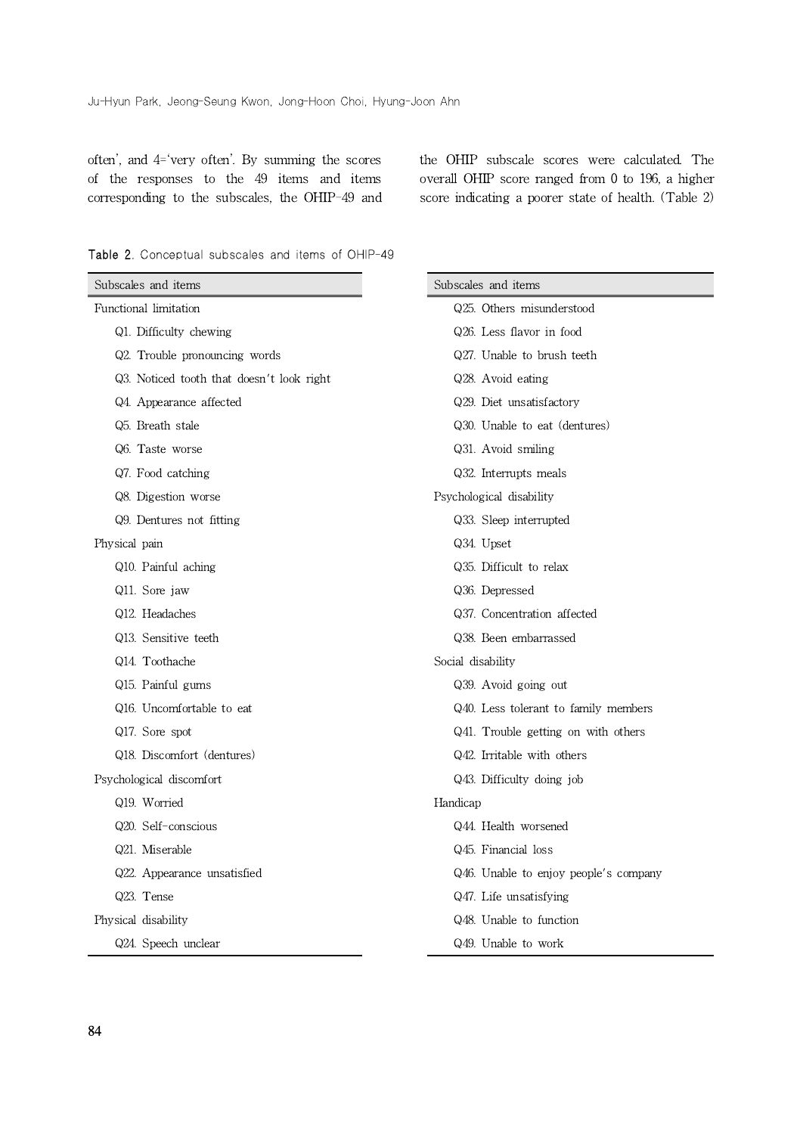often', and 4='very often'. By summing the scores of the responses to the 49 items and items corresponding to the subscales, the OHIP-49 and the OHIP subscale scores were calculated. The overall OHIP score ranged from 0 to 196, a higher score indicating a poorer state of health. (Table 2)

|  |  | <b>Table 2.</b> Conceptual subscales and items of OHIP-49 |  |  |  |  |  |
|--|--|-----------------------------------------------------------|--|--|--|--|--|
|--|--|-----------------------------------------------------------|--|--|--|--|--|

| Subscales and items                       | Subscales and items                   |
|-------------------------------------------|---------------------------------------|
| Functional limitation                     | Q25. Others misunderstood             |
| Q1. Difficulty chewing                    | Q26. Less flavor in food              |
| Q2. Trouble pronouncing words             | Q27. Unable to brush teeth            |
| Q3. Noticed tooth that doesn't look right | Q28. Avoid eating                     |
| Q4. Appearance affected                   | Q29. Diet unsatisfactory              |
| Q5. Breath stale                          | Q30. Unable to eat (dentures)         |
| Q6. Taste worse                           | Q31. Avoid smiling                    |
| Q7. Food catching                         | Q32. Interrupts meals                 |
| Q8. Digestion worse                       | Psychological disability              |
| Q9. Dentures not fitting                  | Q33. Sleep interrupted                |
| Physical pain                             | Q34. Upset                            |
| Q10. Painful aching                       | Q35. Difficult to relax               |
| Q11. Sore jaw                             | Q36. Depressed                        |
| Q12. Headaches                            | Q37. Concentration affected           |
| Q13. Sensitive teeth                      | Q38. Been embarrassed                 |
| Q14. Toothache                            | Social disability                     |
| Q15. Painful gums                         | Q39. Avoid going out                  |
| Q16. Uncomfortable to eat                 | Q40. Less tolerant to family members  |
| Q17. Sore spot                            | Q41. Trouble getting on with others   |
| Q18. Discomfort (dentures)                | Q42. Irritable with others            |
| Psychological discomfort                  | Q43. Difficulty doing job             |
| Q19. Worried                              | Handicap                              |
| Q20. Self-conscious                       | Q44. Health worsened                  |
| Q21. Miserable                            | Q45. Financial loss                   |
| Q22. Appearance unsatisfied               | Q46. Unable to enjoy people's company |
| Q23. Tense                                | Q47. Life unsatisfying                |
| Physical disability                       | Q48. Unable to function               |
| Q24. Speech unclear                       | Q49. Unable to work                   |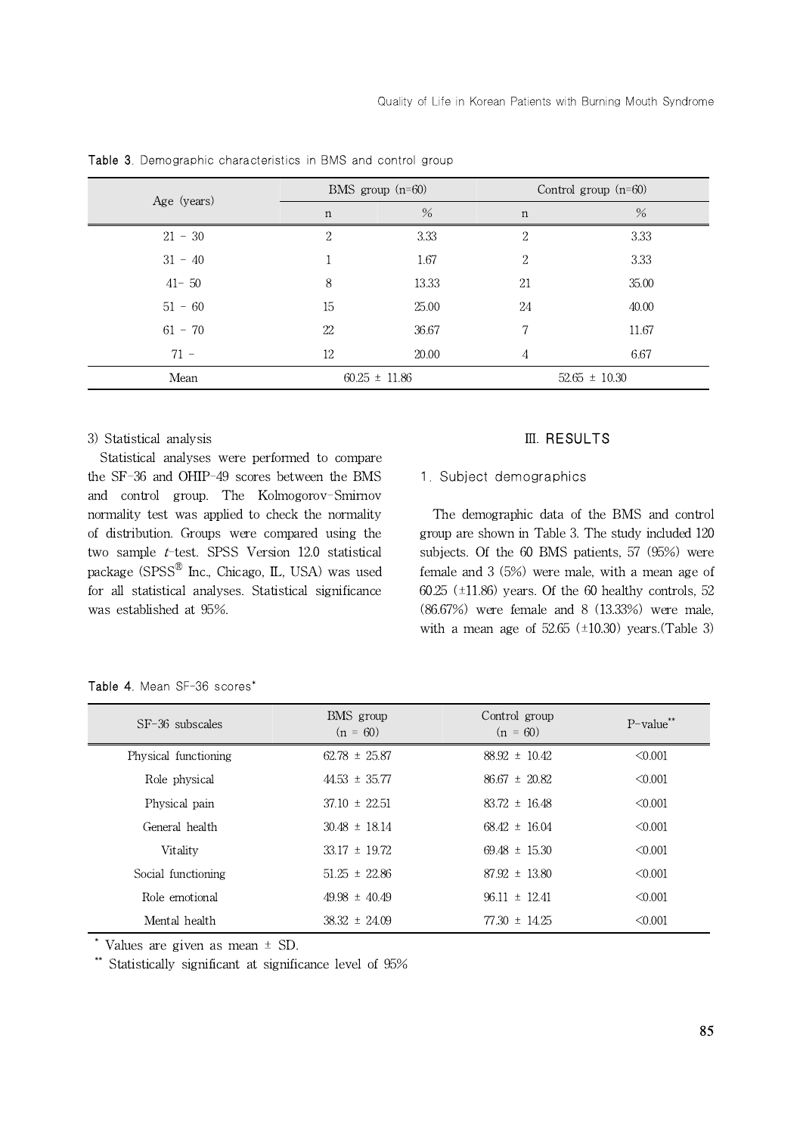| Age (years) | BMS group $(n=60)$ |                   | Control group $(n=60)$ |                   |
|-------------|--------------------|-------------------|------------------------|-------------------|
|             | $\mathbf n$        | $\%$              | $\mathbf n$            | $\%$              |
| $21 - 30$   | 2                  | 3.33              | 2                      | 3.33              |
| $31 - 40$   |                    | 1.67              | 2                      | 3.33              |
| $41 - 50$   | 8                  | 13.33             | 21                     | 35.00             |
| $51 - 60$   | 15                 | 25.00             | 24                     | 40.00             |
| $61 - 70$   | 22                 | 36.67             | 7                      | 11.67             |
| $71 -$      | 12                 | 20.00             | 4                      | 6.67              |
| Mean        |                    | $60.25 \pm 11.86$ |                        | $52.65 \pm 10.30$ |

Table 3. Demographic characteristics in BMS and control group

#### 3) Statistical analysis

Statistical analyses were performed to compare the SF-36 and OHIP-49 scores between the BMS and control group. The Kolmogorov-Smirnov normality test was applied to check the normality of distribution. Groups were compared using the two sample t-test. SPSS Version 12.0 statistical package (SPSS $^{\circledR}$  Inc., Chicago, IL, USA) was used fen for all statistical analyses. Statistical significance was established at 95%.

#### Ⅲ. RESULTS

## 1. Subject demographics

The demographic data of the BMS and control group are shown in Table 3. The study included 120 subjects. Of the 60 BMS patients, 57 (95%) were female and 3 (5%) were male, with a mean age of 60.25 ( $\pm$ 11.86) years. Of the 60 healthy controls, 52 (86.67%) were female and 8 (13.33%) were male, with a mean age of  $52.65$  ( $\pm 10.30$ ) years.(Table 3)

| $SF-36$ subscales    | BMS group<br>$(n = 60)$ | Control group<br>$(n = 60)$ | $P$ -value** |
|----------------------|-------------------------|-----------------------------|--------------|
| Physical functioning | $62.78 \pm 25.87$       | $88.92 \pm 10.42$           | < 0.001      |
| Role physical        | $44.53 \pm 35.77$       | $86.67 \pm 20.82$           | $\leq 0.001$ |
| Physical pain        | $37.10 \pm 22.51$       | $83.72 \pm 16.48$           | < 0.001      |
| General health       | $30.48 \pm 18.14$       | $68.42 \pm 16.04$           | < 0.001      |
| Vitality             | $33.17 \pm 19.72$       | $69.48 \pm 15.30$           | < 0.001      |
| Social functioning   | $51.25 \pm 22.86$       | $87.92 \pm 13.80$           | < 0.001      |
| Role emotional       | $49.98 \pm 40.49$       | $96.11 \pm 12.41$           | < 0.001      |
| Mental health        | $38.32 \pm 24.09$       | $77.30 \pm 14.25$           | < 0.001      |

Table 4. Mean SF-36 scores\*

\* Values are given as mean ± SD.

\*\* Statistically significant at significance level of 95%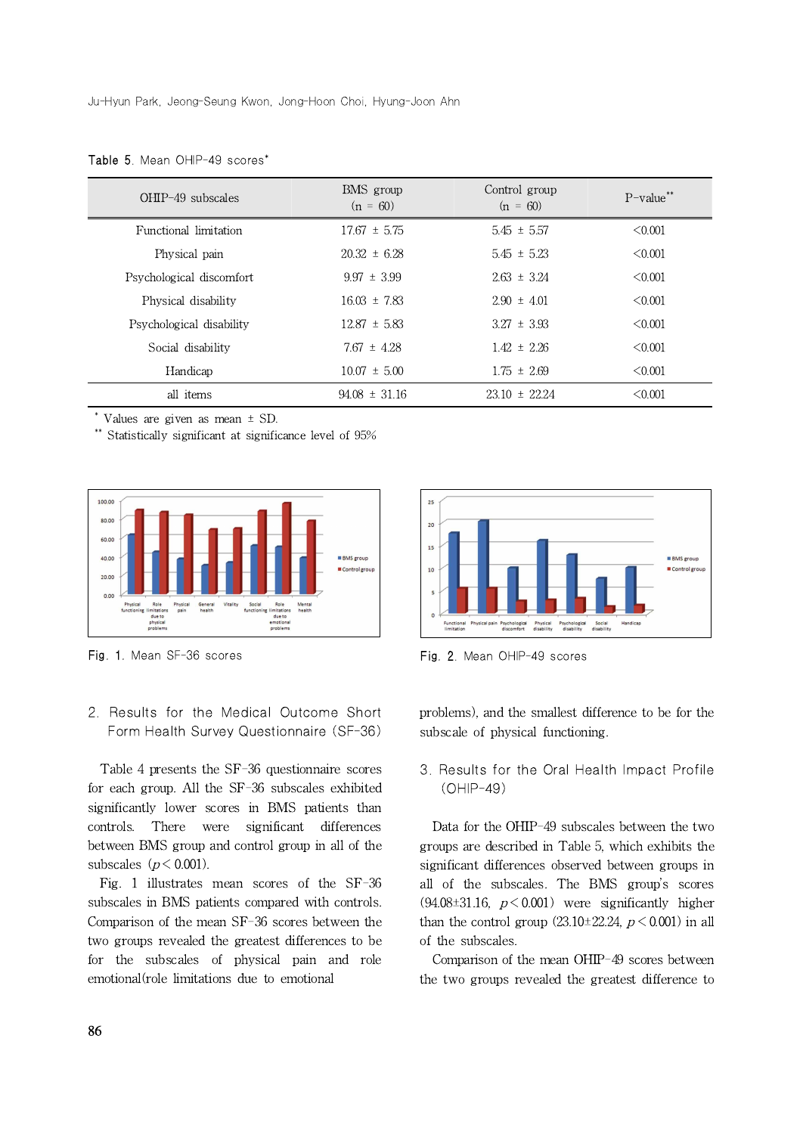| $OHIP-49$ subscales      | BMS group<br>$(n = 60)$ | Control group<br>$(n = 60)$ | $P$ -value <sup>**</sup> |
|--------------------------|-------------------------|-----------------------------|--------------------------|
| Functional limitation    | $17.67 \pm 5.75$        | $5.45 \pm 5.57$             | < 0.001                  |
| Physical pain            | $20.32 \pm 6.28$        | $5.45 \pm 5.23$             | $\leq 0.001$             |
| Psychological discomfort | $9.97 \pm 3.99$         | $2.63 \pm 3.24$             | < 0.001                  |
| Physical disability      | $16.03 \pm 7.83$        | $2.90 \pm 4.01$             | $\leq 0.001$             |
| Psychological disability | $12.87 \pm 5.83$        | $3.27 \pm 3.93$             | < 0.001                  |
| Social disability        | $7.67 \pm 4.28$         | $1.42 \pm 2.26$             | $\leq 0.001$             |
| Handicap                 | $10.07 \pm 5.00$        | $1.75 \pm 2.69$             | < 0.001                  |
| all items                | $94.08 \pm 31.16$       | $23.10 \pm 22.24$           | $\leq 0.001$             |

Table 5. Mean OHIP-49 scores<sup>\*</sup>

\* Values are given as mean ± SD.

\*\* Statistically significant at significance level of 95%



Fig. 1. Mean SF-36 scores

2. Results for the Medical Outcome Short Form Health Survey Questionnaire (SF-36)

Table 4 presents the SF-36 questionnaire scores for each group. All the SF-36 subscales exhibited significantly lower scores in BMS patients than controls. There were significant differences between BMS group and control group in all of the subscales ( $p < 0.001$ ).

Fig. 1 illustrates mean scores of the SF-36 subscales in BMS patients compared with controls. Comparison of the mean SF-36 scores between the two groups revealed the greatest differences to be for the subscales of physical pain and role emotional(role limitations due to emotional



Fig. 2. Mean OHIP-49 scores

problems), and the smallest difference to be for the subscale of physical functioning.

3. Results for the Oral Health Impact Profile (OHIP-49)

Data for the OHIP-49 subscales between the two groups are described in Table 5, which exhibits the significant differences observed between groups in all of the subscales. The BMS group's scores  $(94.08\pm31.16, p \le 0.001)$  were significantly higher than the control group  $(23.10\pm22.24, p < 0.001)$  in all of the subscales.

Comparison of the mean OHIP-49 scores between the two groups revealed the greatest difference to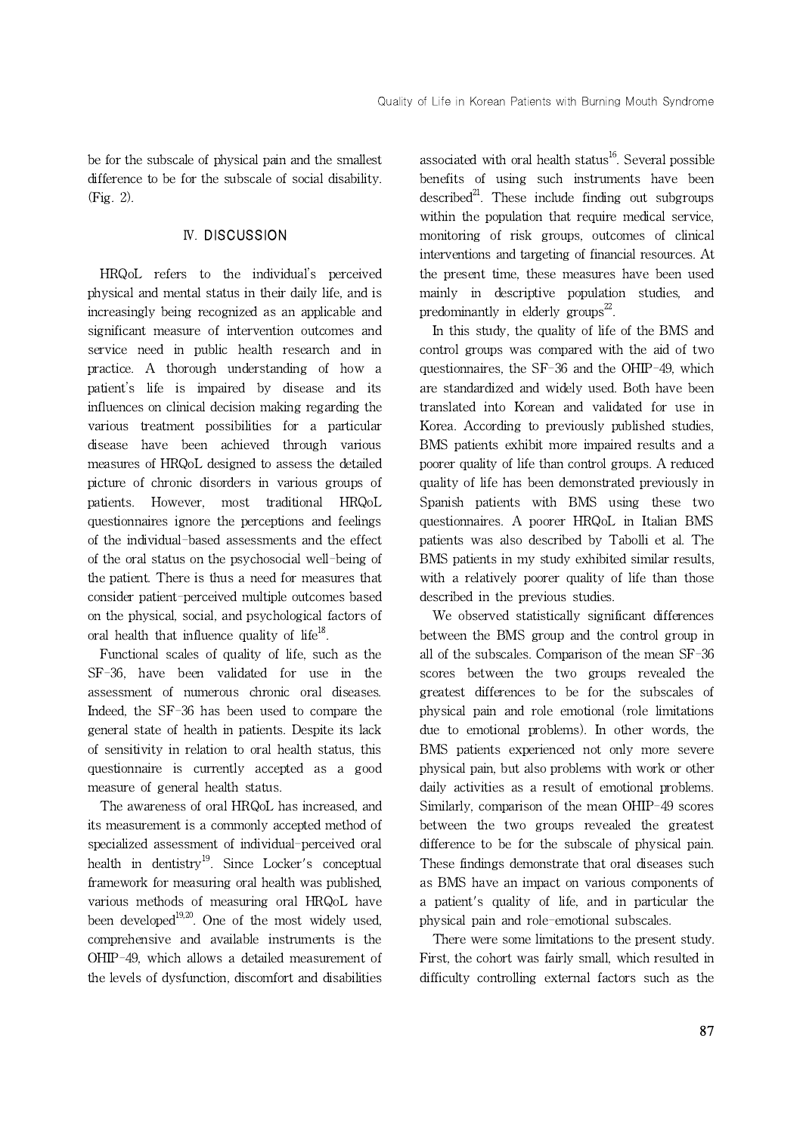be for the subscale of physical pain and the smallest difference to be for the subscale of social disability. (Fig. 2).

# Ⅳ. DISCUSSION

HRQoL refers to the individual's perceived physical and mental status in their daily life, and is increasingly being recognized as an applicable and significant measure of intervention outcomes and service need in public health research and in practice. A thorough understanding of how a patient's life is impaired by disease and its influences on clinical decision making regarding the various treatment possibilities for a particular disease have been achieved through various measures of HRQoL designed to assess the detailed picture of chronic disorders in various groups of patients. However, most traditional HRQoL questionnaires ignore the perceptions and feelings of the individual-based assessments and the effect of the oral status on the psychosocial well-being of the patient. There is thus a need for measures that consider patient-perceived multiple outcomes based on the physical, social, and psychological factors of oral health that influence quality of life<sup>18</sup>.

Functional scales of quality of life, such as the SF-36, have been validated for use in the assessment of numerous chronic oral diseases. Indeed, the SF-36 has been used to compare the general state of health in patients. Despite its lack of sensitivity in relation to oral health status, this questionnaire is currently accepted as a good measure of general health status.

The awareness of oral HRQoL has increased, and its measurement is a commonly accepted method of specialized assessment of individual-perceived oral health in dentistry<sup>19</sup>. Since Locker's conceptual framework for measuring oral health was published, various methods of measuring oral HRQoL have been developed $19,20$ . One of the most widely used, comprehensive and available instruments is the OHIP-49, which allows a detailed measurement of the levels of dysfunction, discomfort and disabilities associated with oral health status<sup>16</sup>. Several possible benefits of using such instruments have been described $^{21}$ . These include finding out subgroups within the population that require medical service, monitoring of risk groups, outcomes of clinical interventions and targeting of financial resources. At the present time, these measures have been used mainly in descriptive population studies, and predominantly in elderly groups $^{22}$ .

In this study, the quality of life of the BMS and control groups was compared with the aid of two questionnaires, the SF-36 and the OHIP-49, which are standardized and widely used. Both have been translated into Korean and validated for use in Korea. According to previously published studies, BMS patients exhibit more impaired results and a poorer quality of life than control groups. A reduced quality of life has been demonstrated previously in Spanish patients with BMS using these two questionnaires. A poorer HRQoL in Italian BMS patients was also described by Tabolli et al. The BMS patients in my study exhibited similar results, with a relatively poorer quality of life than those described in the previous studies.

We observed statistically significant differences between the BMS group and the control group in all of the subscales. Comparison of the mean SF-36 scores between the two groups revealed the greatest differences to be for the subscales of physical pain and role emotional (role limitations due to emotional problems). In other words, the BMS patients experienced not only more severe physical pain, but also problems with work or other daily activities as a result of emotional problems. Similarly, comparison of the mean OHIP-49 scores between the two groups revealed the greatest difference to be for the subscale of physical pain. These findings demonstrate that oral diseases such as BMS have an impact on various components of a patient's quality of life, and in particular the physical pain and role-emotional subscales.

There were some limitations to the present study. First, the cohort was fairly small, which resulted in difficulty controlling external factors such as the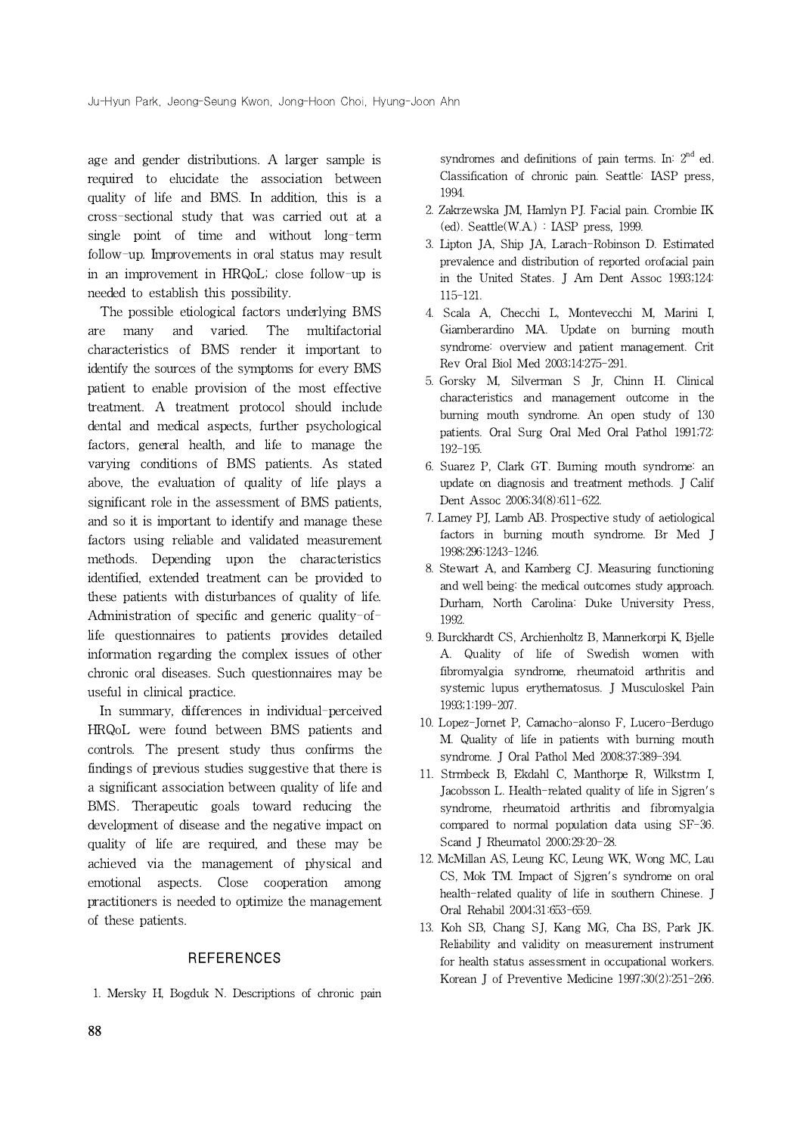age and gender distributions. A larger sample is required to elucidate the association between quality of life and BMS. In addition, this is a cross-sectional study that was carried out at a single point of time and without long-term follow-up. Improvements in oral status may result in an improvement in HRQoL; close follow-up is needed to establish this possibility.

The possible etiological factors underlying BMS are many and varied. The multifactorial characteristics of BMS render it important to identify the sources of the symptoms for every BMS patient to enable provision of the most effective treatment. A treatment protocol should include dental and medical aspects, further psychological factors, general health, and life to manage the varying conditions of BMS patients. As stated above, the evaluation of quality of life plays a significant role in the assessment of BMS patients, and so it is important to identify and manage these factors using reliable and validated measurement methods. Depending upon the characteristics identified, extended treatment can be provided to these patients with disturbances of quality of life. Administration of specific and generic quality-oflife questionnaires to patients provides detailed information regarding the complex issues of other chronic oral diseases. Such questionnaires may be useful in clinical practice.

In summary, differences in individual-perceived HRQoL were found between BMS patients and controls. The present study thus confirms the findings of previous studies suggestive that there is a significant association between quality of life and BMS. Therapeutic goals toward reducing the development of disease and the negative impact on quality of life are required, and these may be achieved via the management of physical and emotional aspects. Close cooperation among practitioners is needed to optimize the management of these patients.

#### REFERENCES

1. Mersky H, Bogduk N. Descriptions of chronic pain

syndromes and definitions of pain terms. In:  $2^{\rm nd}$  ed. Classification of chronic pain. Seattle: IASP press, 1994.

- 2. Zakrzewska JM, Hamlyn PJ. Facial pain. Crombie IK  $(ed)$ . Seattle $(W.A.)$ : IASP press, 1999.
- 3. Lipton JA, Ship JA, Larach-Robinson D. Estimated prevalence and distribution of reported orofacial pain in the United States. J Am Dent Assoc 1993;124: 115-121.
- 4. Scala A, Checchi L, Montevecchi M, Marini I, Giamberardino MA. Update on burning mouth syndrome: overview and patient management. Crit Rev Oral Biol Med 2003;14:275-291.
- 5. Gorsky M, Silverman S Jr, Chinn H. Clinical characteristics and management outcome in the burning mouth syndrome. An open study of 130 patients. Oral Surg Oral Med Oral Pathol 1991;72: 192-195.
- 6. Suarez P, Clark GT. Burning mouth syndrome: an update on diagnosis and treatment methods. J Calif Dent Assoc 2006;34(8):611-622.
- 7. Lamey PJ, Lamb AB. Prospective study of aetiological factors in burning mouth syndrome. Br Med J 1998;296:1243-1246.
- 8. Stewart A, and Kamberg CJ. Measuring functioning and well being: the medical outcomes study approach. Durham, North Carolina: Duke University Press, 1992.
- 9. Burckhardt CS, Archienholtz B, Mannerkorpi K, Bjelle A. Quality of life of Swedish women with fibromyalgia syndrome, rheumatoid arthritis and systemic lupus erythematosus. J Musculoskel Pain 1993;1:199-207.
- 10. Lopez-Jornet P, Camacho-alonso F, Lucero-Berdugo M. Quality of life in patients with burning mouth syndrome. J Oral Pathol Med 2008;37:389-394.
- 11. Strmbeck B, Ekdahl C, Manthorpe R, Wilkstrm I, Jacobsson L. Health-related quality of life in Sjgren's syndrome, rheumatoid arthritis and fibromyalgia compared to normal population data using SF-36. Scand J Rheumatol 2000;29:20-28.
- 12. McMillan AS, Leung KC, Leung WK, Wong MC, Lau CS, Mok TM. Impact of Sjgren's syndrome on oral health-related quality of life in southern Chinese. J Oral Rehabil 2004;31:653-659.
- 13. Koh SB, Chang SJ, Kang MG, Cha BS, Park JK. Reliability and validity on measurement instrument for health status assessment in occupational workers. Korean J of Preventive Medicine 1997;30(2):251-266.